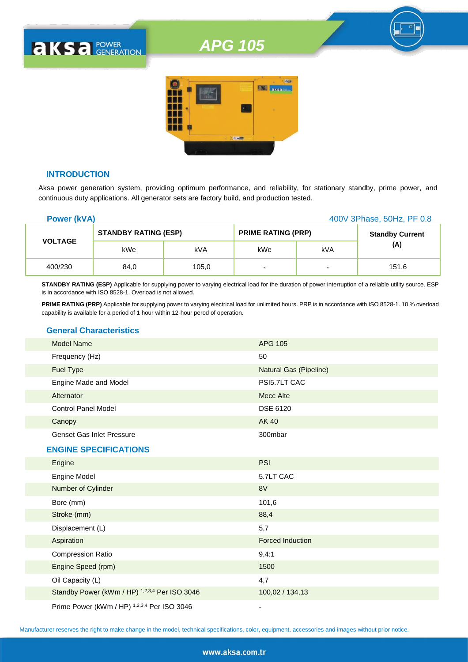# *APG 105*



### **INTRODUCTION**

**AKSA POWER** 

Aksa power generation system, providing optimum performance, and reliability, for stationary standby, prime power, and continuous duty applications. All generator sets are factory build, and production tested.

|                | <b>Power (kVA)</b><br>400V 3Phase, 50Hz, PF 0.8 |       |                           |                |                        |
|----------------|-------------------------------------------------|-------|---------------------------|----------------|------------------------|
|                | <b>STANDBY RATING (ESP)</b>                     |       | <b>PRIME RATING (PRP)</b> |                | <b>Standby Current</b> |
| <b>VOLTAGE</b> | kWe                                             | kVA   | kWe                       | kVA            | (A)                    |
| 400/230        | 84,0                                            | 105,0 | $\blacksquare$            | $\blacksquare$ | 151,6                  |

**STANDBY RATING (ESP)** Applicable for supplying power to varying electrical load for the duration of power interruption of a reliable utility source. ESP is in accordance with ISO 8528-1. Overload is not allowed.

**PRIME RATING (PRP)** Applicable for supplying power to varying electrical load for unlimited hours. PRP is in accordance with ISO 8528-1. 10 % overload capability is available for a period of 1 hour within 12-hour perod of operation.

## **General Characteristics**

| <b>Model Name</b>                | <b>APG 105</b>          |
|----------------------------------|-------------------------|
| Frequency (Hz)                   | 50                      |
| Fuel Type                        | Natural Gas (Pipeline)  |
| Engine Made and Model            | PSI5.7LT CAC            |
| Alternator                       | <b>Mecc Alte</b>        |
| <b>Control Panel Model</b>       | <b>DSE 6120</b>         |
| Canopy                           | AK 40                   |
| <b>Genset Gas Inlet Pressure</b> | 300mbar                 |
| <b>ENGINE SPECIFICATIONS</b>     |                         |
| Engine                           | <b>PSI</b>              |
| Engine Model                     | 5.7LT CAC               |
| Number of Cylinder               | 8V                      |
| Bore (mm)                        | 101,6                   |
| Stroke (mm)                      | 88,4                    |
| Displacement (L)                 | 5,7                     |
| Aspiration                       | <b>Forced Induction</b> |
|                                  |                         |

# Compression Ratio 9,4:1 Engine Speed (rpm) 1500 Oil Capacity (L) 4,7 Standby Power (kWm / HP) <sup>1,2,3,4</sup> Per ISO 3046 100,02 / 134,13

Prime Power (kWm / HP) <sup>1,2,3,4</sup> Per ISO 3046

Manufacturer reserves the right to make change in the model, technical specifications, color, equipment, accessories and images without prior notice.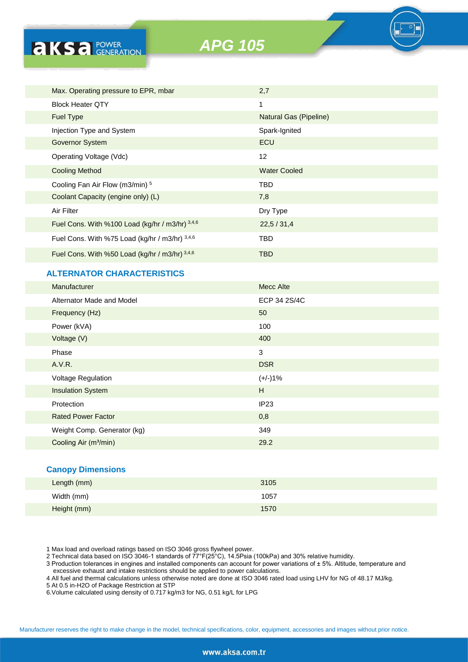| Max. Operating pressure to EPR, mbar            | 2,7                    |
|-------------------------------------------------|------------------------|
| <b>Block Heater QTY</b>                         | 1                      |
| <b>Fuel Type</b>                                | Natural Gas (Pipeline) |
| Injection Type and System                       | Spark-Ignited          |
| <b>Governor System</b>                          | ECU                    |
| Operating Voltage (Vdc)                         | 12                     |
| <b>Cooling Method</b>                           | <b>Water Cooled</b>    |
| Cooling Fan Air Flow (m3/min) 5                 | TBD                    |
| Coolant Capacity (engine only) (L)              | 7,8                    |
| Air Filter                                      | Dry Type               |
| Fuel Cons. With %100 Load (kg/hr / m3/hr) 3,4,6 | 22.5 / 31.4            |
| Fuel Cons. With %75 Load (kg/hr / m3/hr) 3,4,6  | TBD                    |
| Fuel Cons. With %50 Load (kg/hr / m3/hr) 3,4,6  | <b>TBD</b>             |
|                                                 |                        |

# **ALTERNATOR CHARACTERISTICS**

**AKSA POWER** 

| Manufacturer                      | Mecc Alte        |
|-----------------------------------|------------------|
| Alternator Made and Model         | ECP 34 2S/4C     |
| Frequency (Hz)                    | 50               |
| Power (kVA)                       | 100              |
| Voltage (V)                       | 400              |
| Phase                             | 3                |
| A.V.R.                            | <b>DSR</b>       |
| Voltage Regulation                | $(+/-)1%$        |
| <b>Insulation System</b>          | H                |
| Protection                        | IP <sub>23</sub> |
| <b>Rated Power Factor</b>         | 0,8              |
| Weight Comp. Generator (kg)       | 349              |
| Cooling Air (m <sup>3</sup> /min) | 29.2             |

### **Canopy Dimensions**

| Length (mm) | 3105 |  |
|-------------|------|--|
| Width (mm)  | 1057 |  |
| Height (mm) | 1570 |  |

1 Max load and overload ratings based on ISO 3046 gross flywheel power.

2 Technical data based on ISO 3046-1 standards of 77°F(25°C), 14.5Psia (100kPa) and 30% relative humidity.

3 Production tolerances in engines and installed components can account for power variations of ± 5%. Altitude, temperature and excessive exhaust and intake restrictions should be applied to power calculations.

4 All fuel and thermal calculations unless otherwise noted are done at ISO 3046 rated load using LHV for NG of 48.17 MJ/kg.

5 At 0.5 in-H2O of Package Restriction at STP

6.Volume calculated using density of 0.717 kg/m3 for NG, 0.51 kg/L for LPG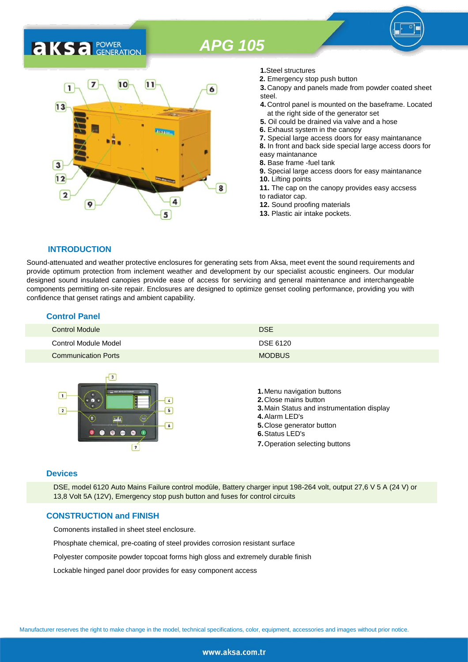# *APG 105*

# **AKSA** POWER



- **1.**Steel structures
- **2.** Emergency stop push button
- **3.** Canopy and panels made from powder coated sheet steel.
- **4.** Control panel is mounted on the baseframe. Located at the right side of the generator set
- **5.** Oil could be drained via valve and a hose
- **6.** Exhaust system in the canopy
- **7.** Special large access doors for easy maintanance
- **8.** In front and back side special large access doors for
- easy maintanance **8.** Base frame -fuel tank
- **9.** Special large access doors for easy maintanance

**10.** Lifting points **11.** The cap on the canopy provides easy accsess

- to radiator cap.
- **12.** Sound proofing materials
- **13.** Plastic air intake pockets.

#### **INTRODUCTION**

Sound-attenuated and weather protective enclosures for generating sets from Aksa, meet event the sound requirements and provide optimum protection from inclement weather and development by our specialist acoustic engineers. Our modular designed sound insulated canopies provide ease of access for servicing and general maintenance and interchangeable components permitting on-site repair. Enclosures are designed to optimize genset cooling performance, providing you with confidence that genset ratings and ambient capability.

| <b>Control Panel</b>       |               |  |
|----------------------------|---------------|--|
| Control Module             | <b>DSE</b>    |  |
| Control Module Model       | DSE 6120      |  |
| <b>Communication Ports</b> | <b>MODBUS</b> |  |



#### **Devices**

DSE, model 6120 Auto Mains Failure control modüle, Battery charger input 198-264 volt, output 27,6 V 5 A (24 V) or 13,8 Volt 5A (12V), Emergency stop push button and fuses for control circuits

#### **CONSTRUCTION and FINISH**

Comonents installed in sheet steel enclosure.

Phosphate chemical, pre-coating of steel provides corrosion resistant surface

Polyester composite powder topcoat forms high gloss and extremely durable finish

Lockable hinged panel door provides for easy component access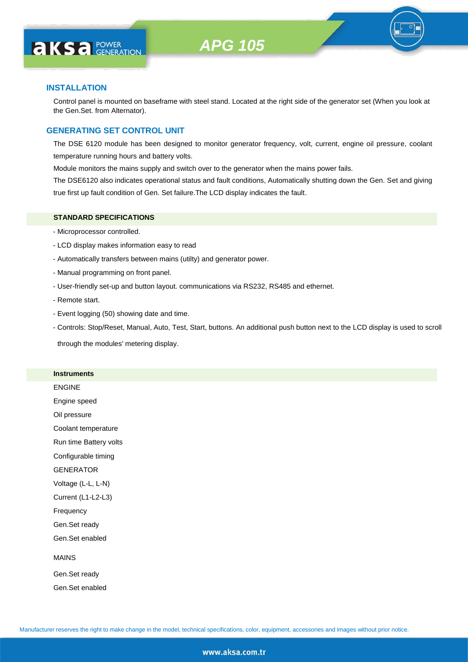

# **INSTALLATION**

Control panel is mounted on baseframe with steel stand. Located at the right side of the generator set (When you look at the Gen.Set. from Alternator).

# **GENERATING SET CONTROL UNIT**

The DSE 6120 module has been designed to monitor generator frequency, volt, current, engine oil pressure, coolant temperature running hours and battery volts.

Module monitors the mains supply and switch over to the generator when the mains power fails.

The DSE6120 also indicates operational status and fault conditions, Automatically shutting down the Gen. Set and giving true first up fault condition of Gen. Set failure.The LCD display indicates the fault.

#### **STANDARD SPECIFICATIONS**

- Microprocessor controlled.
- LCD display makes information easy to read
- Automatically transfers between mains (utilty) and generator power.
- Manual programming on front panel.
- User-friendly set-up and button layout. communications via RS232, RS485 and ethernet.
- Remote start.
- Event logging (50) showing date and time.
- Controls: Stop/Reset, Manual, Auto, Test, Start, buttons. An additional push button next to the LCD display is used to scroll

through the modules' metering display.

#### **Instruments**

ENGINE Engine speed

Oil pressure

Coolant temperature

Run time Battery volts

Configurable timing

GENERATOR

Voltage (L-L, L-N)

Current (L1-L2-L3)

Frequency

Gen.Set ready

Gen.Set enabled

#### MAINS

Gen.Set ready Gen.Set enabled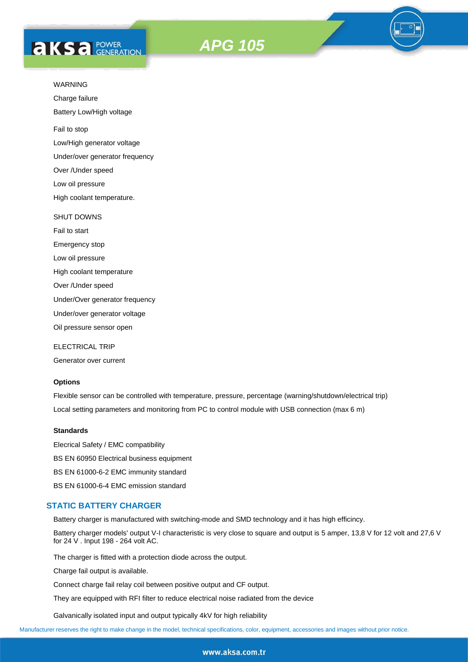



Charge failure

Battery Low/High voltage

Fail to stop

Low/High generator voltage

Under/over generator frequency

Over /Under speed

Low oil pressure

High coolant temperature.

#### SHUT DOWNS

Fail to start Emergency stop Low oil pressure High coolant temperature Over /Under speed

Under/Over generator frequency

Under/over generator voltage

Oil pressure sensor open

ELECTRICAL TRIP

Generator over current

### **Options**

Flexible sensor can be controlled with temperature, pressure, percentage (warning/shutdown/electrical trip) Local setting parameters and monitoring from PC to control module with USB connection (max 6 m)

#### **Standards**

Elecrical Safety / EMC compatibility BS EN 60950 Electrical business equipment BS EN 61000-6-2 EMC immunity standard BS EN 61000-6-4 EMC emission standard

#### **STATIC BATTERY CHARGER**

Battery charger is manufactured with switching-mode and SMD technology and it has high efficincy.

Battery charger models' output V-I characteristic is very close to square and output is 5 amper, 13,8 V for 12 volt and 27,6 V for 24 V . Input 198 - 264 volt AC.

The charger is fitted with a protection diode across the output.

Charge fail output is available.

Connect charge fail relay coil between positive output and CF output.

They are equipped with RFI filter to reduce electrical noise radiated from the device

Galvanically isolated input and output typically 4kV for high reliability

Manufacturer reserves the right to make change in the model, technical specifications, color, equipment, accessories and images without prior notice.